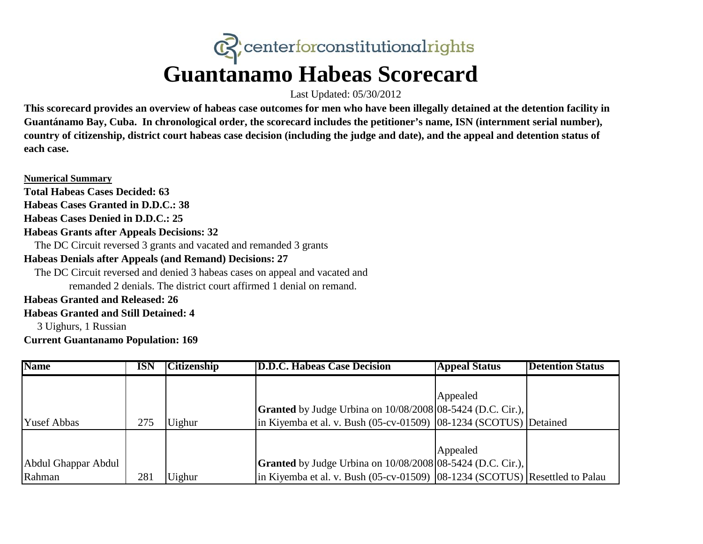# $\mathbb{C}$  centerforconstitutional rights **Guantanamo Habeas Scorecard**

Last Updated: 05/30/2012

**This scorecard provides an overview of habeas case outcomes for men who have been illegally detained at the detention facility in Guantánamo Bay, Cuba. In chronological order, the scorecard includes the petitioner's name, ISN (internment serial number), country of citizenship, district court habeas case decision (including the judge and date), and the appeal and detention status of each case.** 

**Numerical Summary**

**Total Habeas Cases Decided: 63**

**Habeas Cases Granted in D.D.C.: 38**

**Habeas Cases Denied in D.D.C.: 25**

# **Habeas Grants after Appeals Decisions: 32**

The DC Circuit reversed 3 grants and vacated and remanded 3 grants

# **Habeas Denials after Appeals (and Remand) Decisions: 27**

The DC Circuit reversed and denied 3 habeas cases on appeal and vacated and

remanded 2 denials. The district court affirmed 1 denial on remand.

### **Habeas Granted and Released: 26**

### **Habeas Granted and Still Detained: 4**

3 Uighurs, 1 Russian

**Current Guantanamo Population: 169** 

| <b>Name</b>         | <b>ISN</b> | <b>Citizenship</b> | <b>D.D.C. Habeas Case Decision</b>                                               | <b>Appeal Status</b> | <b>Detention Status</b> |
|---------------------|------------|--------------------|----------------------------------------------------------------------------------|----------------------|-------------------------|
|                     |            |                    |                                                                                  |                      |                         |
|                     |            |                    |                                                                                  | Appealed             |                         |
|                     |            |                    | <b>Granted</b> by Judge Urbina on 10/08/2008 08-5424 (D.C. Cir.),                |                      |                         |
| <b>Yusef Abbas</b>  | 275        | Uighur             | in Kiyemba et al. v. Bush $(05-cv-01509)$ $[08-1234$ (SCOTUS) Detained           |                      |                         |
|                     |            |                    |                                                                                  |                      |                         |
|                     |            |                    |                                                                                  | Appealed             |                         |
| Abdul Ghappar Abdul |            |                    | <b>Granted</b> by Judge Urbina on 10/08/2008 08-5424 (D.C. Cir.),                |                      |                         |
| Rahman              | 281        | <b>Uighur</b>      | in Kiyemba et al. v. Bush $(05-cv-01509)$ $ 08-1234$ (SCOTUS) Resettled to Palau |                      |                         |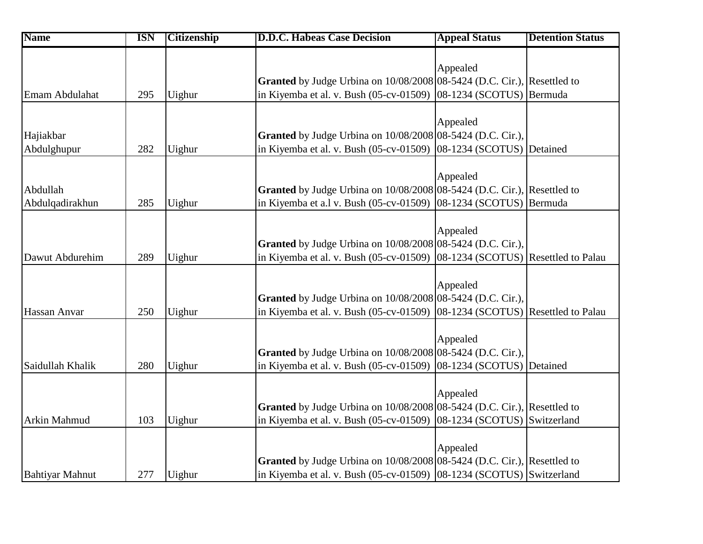| <b>Name</b>            | <b>ISN</b> | <b>Citizenship</b> | <b>D.D.C. Habeas Case Decision</b>                                             | <b>Appeal Status</b>                | <b>Detention Status</b> |
|------------------------|------------|--------------------|--------------------------------------------------------------------------------|-------------------------------------|-------------------------|
|                        |            |                    |                                                                                |                                     |                         |
|                        |            |                    |                                                                                | Appealed                            |                         |
|                        |            |                    | Granted by Judge Urbina on 10/08/2008 08-5424 (D.C. Cir.), Resettled to        |                                     |                         |
| Emam Abdulahat         | 295        | Uighur             | in Kiyemba et al. v. Bush (05-cv-01509)                                        | $ 08-1234$ (SCOTUS)                 | Bermuda                 |
|                        |            |                    |                                                                                | Appealed                            |                         |
| Hajiakbar              |            |                    | Granted by Judge Urbina on 10/08/2008 08-5424 (D.C. Cir.),                     |                                     |                         |
| Abdulghupur            | 282        | Uighur             | in Kiyemba et al. v. Bush (05-cv-01509)                                        | 08-1234 (SCOTUS) Detained           |                         |
|                        |            |                    |                                                                                |                                     |                         |
|                        |            |                    |                                                                                | Appealed                            |                         |
| Abdullah               |            |                    | Granted by Judge Urbina on 10/08/2008 08-5424 (D.C. Cir.), Resettled to        |                                     |                         |
| Abdulqadirakhun        | 285        | Uighur             | in Kiyemba et a.l v. Bush (05-cv-01509)                                        | 08-1234 (SCOTUS) Bermuda            |                         |
|                        |            |                    |                                                                                |                                     |                         |
|                        |            |                    |                                                                                | Appealed                            |                         |
|                        |            |                    | <b>Granted</b> by Judge Urbina on 10/08/2008 08-5424 (D.C. Cir.),              |                                     |                         |
| Dawut Abdurehim        | 289        | Uighur             | in Kiyemba et al. v. Bush (05-cv-01509)                                        | 08-1234 (SCOTUS) Resettled to Palau |                         |
|                        |            |                    |                                                                                |                                     |                         |
|                        |            |                    |                                                                                | Appealed                            |                         |
|                        |            |                    | Granted by Judge Urbina on 10/08/2008 08-5424 (D.C. Cir.),                     |                                     |                         |
| Hassan Anvar           | 250        | Uighur             | in Kiyemba et al. v. Bush (05-cv-01509)                                        | 08-1234 (SCOTUS) Resettled to Palau |                         |
|                        |            |                    |                                                                                |                                     |                         |
|                        |            |                    |                                                                                | Appealed                            |                         |
|                        |            |                    | <b>Granted</b> by Judge Urbina on $10/08/2008 08-5424$ (D.C. Cir.),            |                                     |                         |
| Saidullah Khalik       | 280        | Uighur             | in Kiyemba et al. v. Bush (05-cv-01509)                                        | 08-1234 (SCOTUS) Detained           |                         |
|                        |            |                    |                                                                                |                                     |                         |
|                        |            |                    |                                                                                | Appealed                            |                         |
|                        |            |                    | <b>Granted</b> by Judge Urbina on 10/08/2008 08-5424 (D.C. Cir.), Resettled to |                                     |                         |
| Arkin Mahmud           | 103        | Uighur             | in Kiyemba et al. v. Bush (05-cv-01509)                                        | 08-1234 (SCOTUS) Switzerland        |                         |
|                        |            |                    |                                                                                |                                     |                         |
|                        |            |                    |                                                                                | Appealed                            |                         |
|                        |            |                    | Granted by Judge Urbina on 10/08/2008 08-5424 (D.C. Cir.), Resettled to        |                                     |                         |
| <b>Bahtiyar Mahnut</b> | 277        | Uighur             | in Kiyemba et al. v. Bush (05-cv-01509) [08-1234 (SCOTUS) Switzerland          |                                     |                         |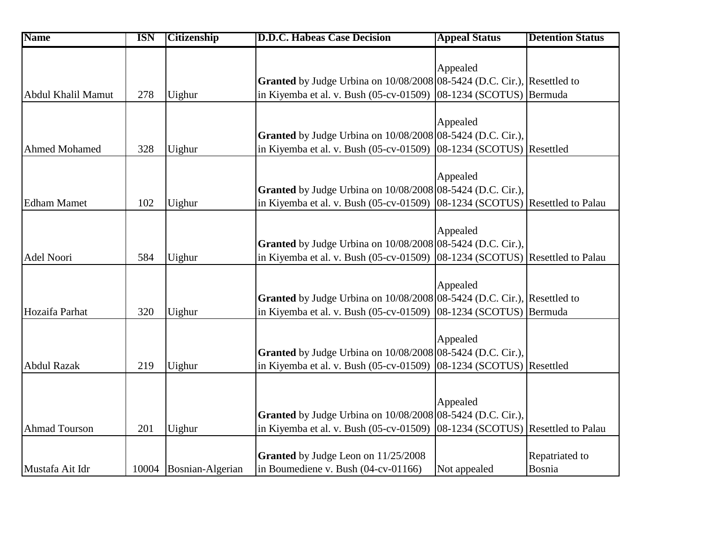| <b>Name</b>          | <b>ISN</b> | <b>Citizenship</b>     | <b>D.D.C. Habeas Case Decision</b>                                             | <b>Appeal Status</b>                | <b>Detention Status</b> |
|----------------------|------------|------------------------|--------------------------------------------------------------------------------|-------------------------------------|-------------------------|
|                      |            |                        |                                                                                |                                     |                         |
|                      |            |                        |                                                                                | Appealed                            |                         |
|                      |            |                        | Granted by Judge Urbina on 10/08/2008 08-5424 (D.C. Cir.), Resettled to        |                                     |                         |
| Abdul Khalil Mamut   | 278        | Uighur                 | in Kiyemba et al. v. Bush (05-cv-01509)                                        | 08-1234 (SCOTUS) Bermuda            |                         |
|                      |            |                        |                                                                                |                                     |                         |
|                      |            |                        |                                                                                | Appealed                            |                         |
|                      |            |                        | <b>Granted</b> by Judge Urbina on 10/08/2008 08-5424 (D.C. Cir.),              |                                     |                         |
| <b>Ahmed Mohamed</b> | 328        | Uighur                 | in Kiyemba et al. v. Bush (05-cv-01509)                                        | 08-1234 (SCOTUS) Resettled          |                         |
|                      |            |                        |                                                                                |                                     |                         |
|                      |            |                        |                                                                                | Appealed                            |                         |
|                      |            |                        | Granted by Judge Urbina on 10/08/2008 08-5424 (D.C. Cir.),                     |                                     |                         |
| <b>Edham Mamet</b>   | 102        | Uighur                 | in Kiyemba et al. v. Bush (05-cv-01509) $ 08-1234$ (SCOTUS) Resettled to Palau |                                     |                         |
|                      |            |                        |                                                                                | Appealed                            |                         |
|                      |            |                        |                                                                                |                                     |                         |
|                      |            |                        | Granted by Judge Urbina on 10/08/2008 08-5424 (D.C. Cir.),                     |                                     |                         |
| Adel Noori           | 584        | Uighur                 | in Kiyemba et al. v. Bush (05-cv-01509)                                        | 08-1234 (SCOTUS) Resettled to Palau |                         |
|                      |            |                        |                                                                                | Appealed                            |                         |
|                      |            |                        | Granted by Judge Urbina on 10/08/2008 08-5424 (D.C. Cir.), Resettled to        |                                     |                         |
|                      |            |                        |                                                                                |                                     |                         |
| Hozaifa Parhat       | 320        | Uighur                 | in Kiyemba et al. v. Bush (05-cv-01509)                                        | 08-1234 (SCOTUS) Bermuda            |                         |
|                      |            |                        |                                                                                | Appealed                            |                         |
|                      |            |                        | Granted by Judge Urbina on 10/08/2008 08-5424 (D.C. Cir.),                     |                                     |                         |
| <b>Abdul Razak</b>   | 219        | Uighur                 | in Kiyemba et al. v. Bush (05-cv-01509)                                        | 08-1234 (SCOTUS) Resettled          |                         |
|                      |            |                        |                                                                                |                                     |                         |
|                      |            |                        |                                                                                |                                     |                         |
|                      |            |                        |                                                                                | Appealed                            |                         |
|                      |            |                        | Granted by Judge Urbina on 10/08/2008 08-5424 (D.C. Cir.),                     |                                     |                         |
| <b>Ahmad Tourson</b> | 201        | Uighur                 | in Kiyemba et al. v. Bush (05-cv-01509)                                        | 08-1234 (SCOTUS) Resettled to Palau |                         |
|                      |            |                        |                                                                                |                                     |                         |
|                      |            |                        | Granted by Judge Leon on 11/25/2008                                            |                                     | Repatriated to          |
| Mustafa Ait Idr      |            | 10004 Bosnian-Algerian | in Boumediene v. Bush (04-cv-01166)                                            | Not appealed                        | Bosnia                  |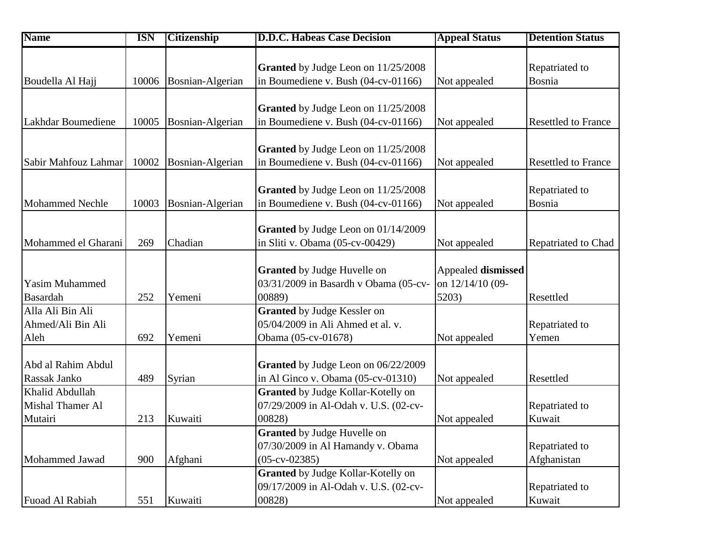| <b>Name</b>            | <b>ISN</b> | <b>Citizenship</b>     | <b>D.D.C. Habeas Case Decision</b>    | <b>Appeal Status</b> | <b>Detention Status</b>    |
|------------------------|------------|------------------------|---------------------------------------|----------------------|----------------------------|
|                        |            |                        |                                       |                      |                            |
|                        |            |                        | Granted by Judge Leon on 11/25/2008   |                      | Repatriated to             |
| Boudella Al Hajj       |            | 10006 Bosnian-Algerian | in Boumediene v. Bush (04-cv-01166)   | Not appealed         | Bosnia                     |
|                        |            |                        |                                       |                      |                            |
|                        |            |                        | Granted by Judge Leon on 11/25/2008   |                      |                            |
| Lakhdar Boumediene     | 10005      | Bosnian-Algerian       | in Boumediene v. Bush (04-cv-01166)   | Not appealed         | <b>Resettled to France</b> |
|                        |            |                        |                                       |                      |                            |
|                        |            |                        | Granted by Judge Leon on 11/25/2008   |                      |                            |
| Sabir Mahfouz Lahmar   | 10002      | Bosnian-Algerian       | in Boumediene v. Bush (04-cv-01166)   | Not appealed         | <b>Resettled to France</b> |
|                        |            |                        |                                       |                      |                            |
|                        |            |                        | Granted by Judge Leon on 11/25/2008   |                      | Repatriated to             |
| <b>Mohammed Nechle</b> | 10003      | Bosnian-Algerian       | in Boumediene v. Bush (04-cv-01166)   | Not appealed         | Bosnia                     |
|                        |            |                        |                                       |                      |                            |
|                        |            |                        | Granted by Judge Leon on 01/14/2009   |                      |                            |
| Mohammed el Gharani    | 269        | Chadian                | in Sliti v. Obama (05-cv-00429)       | Not appealed         | Repatriated to Chad        |
|                        |            |                        |                                       |                      |                            |
|                        |            |                        | <b>Granted</b> by Judge Huvelle on    | Appealed dismissed   |                            |
| <b>Yasim Muhammed</b>  |            |                        | 03/31/2009 in Basardh v Obama (05-cv- | on 12/14/10 (09-     |                            |
| Basardah               | 252        | Yemeni                 | 00889)                                | 5203)                | Resettled                  |
| Alla Ali Bin Ali       |            |                        | <b>Granted</b> by Judge Kessler on    |                      |                            |
| Ahmed/Ali Bin Ali      |            |                        | 05/04/2009 in Ali Ahmed et al. v.     |                      | Repatriated to             |
| Aleh                   | 692        | Yemeni                 | Obama (05-cv-01678)                   | Not appealed         | Yemen                      |
|                        |            |                        |                                       |                      |                            |
| Abd al Rahim Abdul     |            |                        | Granted by Judge Leon on 06/22/2009   |                      |                            |
| Rassak Janko           | 489        | Syrian                 | in Al Ginco v. Obama (05-cv-01310)    | Not appealed         | Resettled                  |
| Khalid Abdullah        |            |                        | Granted by Judge Kollar-Kotelly on    |                      |                            |
| Mishal Thamer Al       |            |                        | 07/29/2009 in Al-Odah v. U.S. (02-cv- |                      | Repatriated to             |
| Mutairi                | 213        | Kuwaiti                | 00828)                                | Not appealed         | Kuwait                     |
|                        |            |                        | <b>Granted</b> by Judge Huvelle on    |                      |                            |
|                        |            |                        | 07/30/2009 in Al Hamandy v. Obama     |                      | Repatriated to             |
| Mohammed Jawad         | 900        | Afghani                | $(05-cv-02385)$                       | Not appealed         | Afghanistan                |
|                        |            |                        | Granted by Judge Kollar-Kotelly on    |                      |                            |
|                        |            |                        | 09/17/2009 in Al-Odah v. U.S. (02-cv- |                      | Repatriated to             |
| Fuoad Al Rabiah        | 551        | Kuwaiti                | 00828)                                | Not appealed         | Kuwait                     |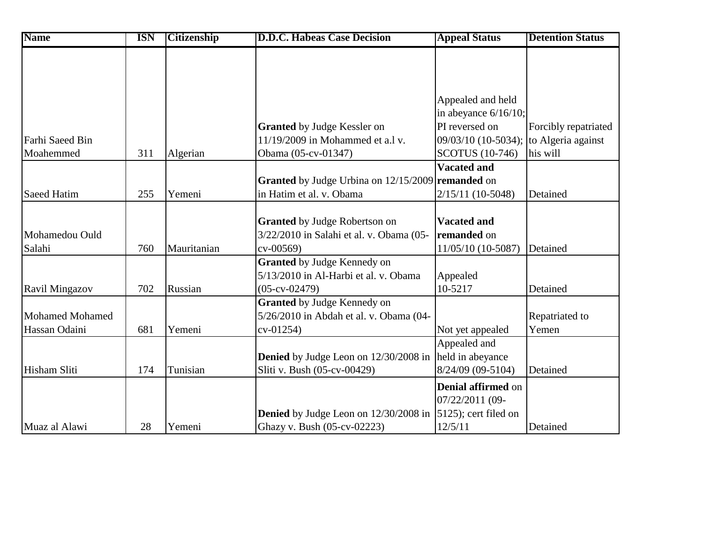| <b>Name</b>            | <b>ISN</b> | <b>Citizenship</b> | <b>D.D.C. Habeas Case Decision</b>                | <b>Appeal Status</b>      | <b>Detention Status</b> |
|------------------------|------------|--------------------|---------------------------------------------------|---------------------------|-------------------------|
|                        |            |                    |                                                   |                           |                         |
|                        |            |                    |                                                   |                           |                         |
|                        |            |                    |                                                   |                           |                         |
|                        |            |                    |                                                   | Appealed and held         |                         |
|                        |            |                    |                                                   | in abeyance $6/16/10$ ;   |                         |
|                        |            |                    | <b>Granted</b> by Judge Kessler on                | PI reversed on            | Forcibly repatriated    |
| Farhi Saeed Bin        |            |                    | 11/19/2009 in Mohammed et a.l v.                  | 09/03/10 (10-5034);       | to Algeria against      |
| Moahemmed              | 311        | Algerian           | Obama (05-cv-01347)                               | <b>SCOTUS</b> (10-746)    | his will                |
|                        |            |                    |                                                   | <b>Vacated and</b>        |                         |
|                        |            |                    | Granted by Judge Urbina on 12/15/2009 remanded on |                           |                         |
| <b>Saeed Hatim</b>     | 255        | Yemeni             | in Hatim et al. v. Obama                          | 2/15/11 (10-5048)         | Detained                |
|                        |            |                    |                                                   |                           |                         |
|                        |            |                    | <b>Granted</b> by Judge Robertson on              | <b>Vacated and</b>        |                         |
| Mohamedou Ould         |            |                    | 3/22/2010 in Salahi et al. v. Obama (05-          | remanded on               |                         |
| Salahi                 | 760        | Mauritanian        | $cv - 00569$                                      | 11/05/10 (10-5087)        | Detained                |
|                        |            |                    | <b>Granted</b> by Judge Kennedy on                |                           |                         |
|                        |            |                    | 5/13/2010 in Al-Harbi et al. v. Obama             | Appealed                  |                         |
| <b>Ravil Mingazov</b>  | 702        | Russian            | $(05-cv-02479)$                                   | 10-5217                   | Detained                |
|                        |            |                    | Granted by Judge Kennedy on                       |                           |                         |
| <b>Mohamed Mohamed</b> |            |                    | 5/26/2010 in Abdah et al. v. Obama (04-           |                           | Repatriated to          |
| Hassan Odaini          | 681        | Yemeni             | $cv-01254)$                                       | Not yet appealed          | Yemen                   |
|                        |            |                    |                                                   | Appealed and              |                         |
|                        |            |                    | <b>Denied</b> by Judge Leon on 12/30/2008 in      | held in abeyance          |                         |
| Hisham Sliti           | 174        | Tunisian           | Sliti v. Bush (05-cv-00429)                       | 8/24/09 (09-5104)         | Detained                |
|                        |            |                    |                                                   | <b>Denial affirmed on</b> |                         |
|                        |            |                    |                                                   | 07/22/2011 (09-           |                         |
|                        |            |                    | <b>Denied</b> by Judge Leon on 12/30/2008 in      | 5125); cert filed on      |                         |
| Muaz al Alawi          | 28         | Yemeni             | Ghazy v. Bush (05-cv-02223)                       | 12/5/11                   | Detained                |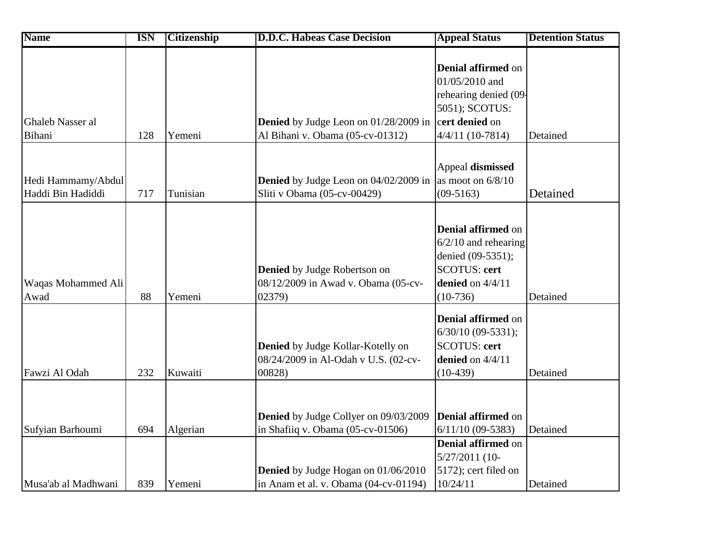| <b>Name</b>                             | <b>ISN</b> | <b>Citizenship</b> | <b>D.D.C. Habeas Case Decision</b>                                                  | <b>Appeal Status</b>                                                                                                         | <b>Detention Status</b> |
|-----------------------------------------|------------|--------------------|-------------------------------------------------------------------------------------|------------------------------------------------------------------------------------------------------------------------------|-------------------------|
| Ghaleb Nasser al                        |            |                    | Denied by Judge Leon on 01/28/2009 in                                               | Denial affirmed on<br>01/05/2010 and<br>rehearing denied (09-<br>5051); SCOTUS:<br>cert denied on                            |                         |
| Bihani                                  | 128        | Yemeni             | Al Bihani v. Obama (05-cv-01312)                                                    | 4/4/11 (10-7814)                                                                                                             | Detained                |
| Hedi Hammamy/Abdul<br>Haddi Bin Hadiddi | 717        | Tunisian           | Denied by Judge Leon on 04/02/2009 in<br>Sliti v Obama (05-cv-00429)                | Appeal dismissed<br>as moot on $6/8/10$<br>$(09-5163)$                                                                       | Detained                |
| Waqas Mohammed Ali<br>Awad              | 88         | Yemeni             | Denied by Judge Robertson on<br>08/12/2009 in Awad v. Obama (05-cv-<br>02379)       | Denial affirmed on<br>$6/2/10$ and rehearing<br>denied (09-5351);<br><b>SCOTUS: cert</b><br>denied on $4/4/11$<br>$(10-736)$ | Detained                |
| Fawzi Al Odah                           | 232        | Kuwaiti            | Denied by Judge Kollar-Kotelly on<br>08/24/2009 in Al-Odah v U.S. (02-cv-<br>00828) | Denial affirmed on<br>$6/30/10$ (09-5331);<br><b>SCOTUS: cert</b><br>denied on $4/4/11$<br>$(10-439)$                        | Detained                |
| Sufyian Barhoumi                        | 694        | Algerian           | Denied by Judge Collyer on 09/03/2009<br>in Shafiiq v. Obama (05-cv-01506)          | <b>Denial affirmed on</b><br>$6/11/10$ (09-5383)                                                                             | Detained                |
| Musa'ab al Madhwani                     | 839        | Yemeni             | <b>Denied</b> by Judge Hogan on 01/06/2010<br>in Anam et al. v. Obama (04-cv-01194) | <b>Denial affirmed on</b><br>5/27/2011 (10-<br>5172); cert filed on<br>10/24/11                                              | Detained                |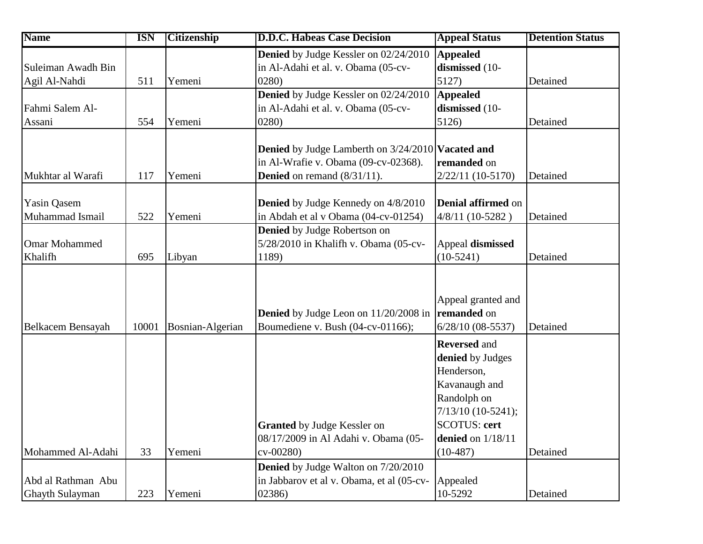| <b>Name</b>          | <b>ISN</b> | <b>Citizenship</b> | <b>D.D.C. Habeas Case Decision</b>                              | <b>Appeal Status</b>      | <b>Detention Status</b> |
|----------------------|------------|--------------------|-----------------------------------------------------------------|---------------------------|-------------------------|
|                      |            |                    | Denied by Judge Kessler on 02/24/2010                           | <b>Appealed</b>           |                         |
| Suleiman Awadh Bin   |            |                    | in Al-Adahi et al. v. Obama (05-cv-                             | dismissed (10-            |                         |
| Agil Al-Nahdi        | 511        | Yemeni             | 0280                                                            | 5127)                     | Detained                |
|                      |            |                    | <b>Denied</b> by Judge Kessler on 02/24/2010                    | <b>Appealed</b>           |                         |
| Fahmi Salem Al-      |            |                    | in Al-Adahi et al. v. Obama (05-cv-                             | dismissed (10-            |                         |
| Assani               | 554        | Yemeni             | 0280)                                                           | 5126)                     | Detained                |
|                      |            |                    |                                                                 |                           |                         |
|                      |            |                    | <b>Denied</b> by Judge Lamberth on 3/24/2010 <b>Vacated and</b> |                           |                         |
|                      |            |                    | in Al-Wrafie v. Obama (09-cv-02368).                            | remanded on               |                         |
| Mukhtar al Warafi    | 117        | Yemeni             | <b>Denied</b> on remand $(8/31/11)$ .                           | 2/22/11 (10-5170)         | Detained                |
|                      |            |                    |                                                                 |                           |                         |
| <b>Yasin Qasem</b>   |            |                    | <b>Denied</b> by Judge Kennedy on 4/8/2010                      | <b>Denial affirmed on</b> |                         |
| Muhammad Ismail      | 522        | Yemeni             | in Abdah et al v Obama (04-cv-01254)                            | 4/8/11 (10-5282)          | Detained                |
|                      |            |                    | <b>Denied</b> by Judge Robertson on                             |                           |                         |
| <b>Omar Mohammed</b> |            |                    | 5/28/2010 in Khalifh v. Obama (05-cv-                           | Appeal dismissed          |                         |
| Khalifh              | 695        | Libyan             | 1189)                                                           | $(10-5241)$               | Detained                |
|                      |            |                    |                                                                 |                           |                         |
|                      |            |                    |                                                                 |                           |                         |
|                      |            |                    |                                                                 | Appeal granted and        |                         |
|                      |            |                    | <b>Denied</b> by Judge Leon on 11/20/2008 in                    | remanded on               |                         |
| Belkacem Bensayah    | 10001      | Bosnian-Algerian   | Boumediene v. Bush (04-cv-01166);                               | $6/28/10$ (08-5537)       | Detained                |
|                      |            |                    |                                                                 | <b>Reversed and</b>       |                         |
|                      |            |                    |                                                                 | denied by Judges          |                         |
|                      |            |                    |                                                                 | Henderson,                |                         |
|                      |            |                    |                                                                 | Kavanaugh and             |                         |
|                      |            |                    |                                                                 | Randolph on               |                         |
|                      |            |                    |                                                                 | 7/13/10 (10-5241);        |                         |
|                      |            |                    | <b>Granted</b> by Judge Kessler on                              | <b>SCOTUS: cert</b>       |                         |
|                      |            |                    | 08/17/2009 in Al Adahi v. Obama (05-                            | denied on 1/18/11         |                         |
| Mohammed Al-Adahi    | 33         | Yemeni             | $cv-00280$                                                      | $(10-487)$                | Detained                |
|                      |            |                    | <b>Denied</b> by Judge Walton on 7/20/2010                      |                           |                         |
| Abd al Rathman Abu   |            |                    | in Jabbarov et al v. Obama, et al (05-cv-                       | Appealed                  |                         |
| Ghayth Sulayman      | 223        | Yemeni             | 02386)                                                          | 10-5292                   | Detained                |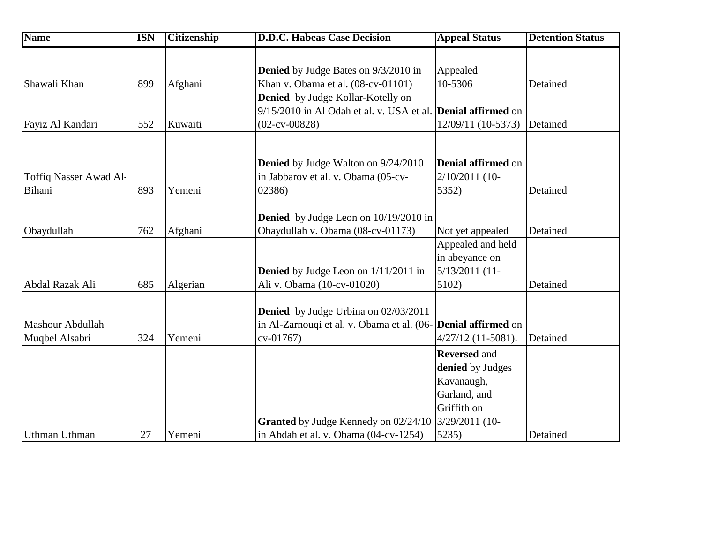| <b>Name</b>            | <b>ISN</b> | <b>Citizenship</b> | <b>D.D.C. Habeas Case Decision</b>                                   | <b>Appeal Status</b>                | <b>Detention Status</b> |
|------------------------|------------|--------------------|----------------------------------------------------------------------|-------------------------------------|-------------------------|
|                        |            |                    |                                                                      |                                     |                         |
|                        |            |                    | <b>Denied</b> by Judge Bates on 9/3/2010 in                          | Appealed                            |                         |
| Shawali Khan           | 899        | Afghani            | Khan v. Obama et al. (08-cv-01101)                                   | 10-5306                             | Detained                |
|                        |            |                    | <b>Denied</b> by Judge Kollar-Kotelly on                             |                                     |                         |
|                        |            |                    | 9/15/2010 in Al Odah et al. v. USA et al. <b>Denial affirmed</b> on  |                                     |                         |
| Fayiz Al Kandari       | 552        | Kuwaiti            | $(02-cv-00828)$                                                      | 12/09/11 (10-5373)                  | Detained                |
|                        |            |                    |                                                                      |                                     |                         |
|                        |            |                    | <b>Denied</b> by Judge Walton on 9/24/2010                           | <b>Denial affirmed on</b>           |                         |
| Toffiq Nasser Awad Al- |            |                    | in Jabbarov et al. v. Obama (05-cv-                                  | 2/10/2011 (10-                      |                         |
| Bihani                 | 893        | Yemeni             | 02386)                                                               | 5352)                               | Detained                |
|                        |            |                    |                                                                      |                                     |                         |
|                        |            |                    | <b>Denied</b> by Judge Leon on 10/19/2010 in                         |                                     |                         |
| Obaydullah             | 762        | Afghani            | Obaydullah v. Obama (08-cv-01173)                                    | Not yet appealed                    | Detained                |
|                        |            |                    |                                                                      | Appealed and held<br>in abeyance on |                         |
|                        |            |                    | <b>Denied</b> by Judge Leon on 1/11/2011 in                          | 5/13/2011 (11-                      |                         |
| Abdal Razak Ali        | 685        | Algerian           | Ali v. Obama (10-cv-01020)                                           | 5102)                               | Detained                |
|                        |            |                    |                                                                      |                                     |                         |
|                        |            |                    | <b>Denied</b> by Judge Urbina on 02/03/2011                          |                                     |                         |
| Mashour Abdullah       |            |                    | in Al-Zarnouqi et al. v. Obama et al. (06- <b>Denial affirmed</b> on |                                     |                         |
| Muqbel Alsabri         | 324        | Yemeni             | cv-01767)                                                            | $4/27/12$ (11-5081).                | Detained                |
|                        |            |                    |                                                                      | <b>Reversed and</b>                 |                         |
|                        |            |                    |                                                                      | denied by Judges                    |                         |
|                        |            |                    |                                                                      | Kavanaugh,                          |                         |
|                        |            |                    |                                                                      | Garland, and                        |                         |
|                        |            |                    |                                                                      | Griffith on                         |                         |
|                        |            |                    | Granted by Judge Kennedy on 02/24/10                                 | 3/29/2011 (10-                      |                         |
| <b>Uthman Uthman</b>   | 27         | Yemeni             | in Abdah et al. v. Obama (04-cv-1254)                                | 5235)                               | Detained                |